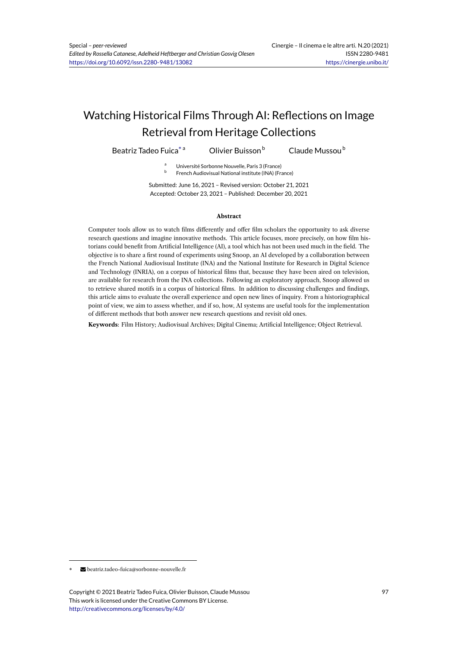# Watching Historical Films Through AI: Reflections on Image Retrieval from Heritage Collections

Beatriz Tadeo Fuica\*

b

Olivier Buisson b Claude Mussou b

Université Sorbonne Nouvelle, Paris 3 (France) French Audiovisual National institute (INA) (France)

Submitted: June 16, 2021 – Revised version: October 21, 2021

Accepted: October 23, 2021 – Published: December 20, 2021

#### **Abstract**

Computer tools allow us to watch films differently and offer film scholars the opportunity to ask diverse research questions and imagine innovative methods. This article focuses, more precisely, on how film historians could benefit from Artificial Intelligence (AI), a tool which has not been used much in the field. The objective is to share a first round of experiments using Snoop, an AI developed by a collaboration between the French National Audiovisual Institute (INA) and the National Institute for Research in Digital Science and Technology (INRIA), on a corpus of historical films that, because they have been aired on television, are available for research from the INA collections. Following an exploratory approach, Snoop allowed us to retrieve shared motifs in a corpus of historical films. In addition to discussing challenges and findings, this article aims to evaluate the overall experience and open new lines of inquiry. From a historiographical point of view, we aim to assess whether, and if so, how, AI systems are useful tools for the implementation of different methods that both answer new research questions and revisit old ones.

**Keywords**: Film History; Audiovisual Archives; Digital Cinema; Artificial Intelligence; Object Retrieval.

 $\blacktriangleright$  beatriz.tadeo-fuica@sorbonne-nouvelle.fr

Copyright © 2021 Beatriz Tadeo Fuica, Olivier Buisson, Claude Mussou This work is licensed under the Creative Commons BY License. http://creativecommons.org/licenses/by/4.0/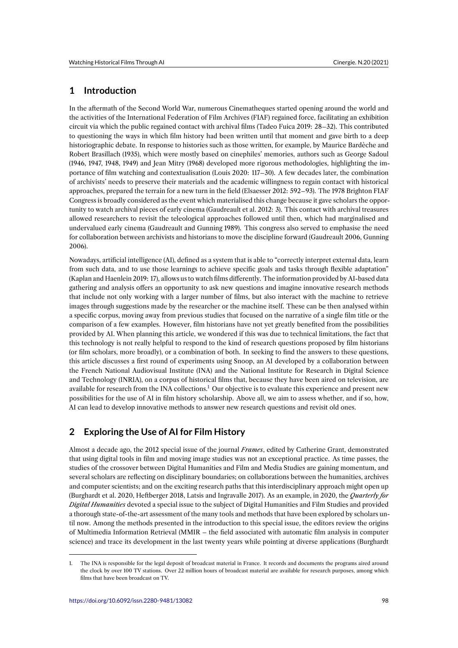### **1 Introduction**

In the aftermath of the Second World War, numerous Cinematheques started opening around the world and the activities of the International Federation of Film Archives (FIAF) regained force, facilitating an exhibition circuit via which the public regained contact with archival films (Tadeo Fuica 2019: 28–32). This contributed to questioning the ways in which film history had been written until that moment and gave birth to a deep historiographic debate. In response to histories such as those written, for example, by Maurice Bardèche and Robert Brasillach (1935), which were mostly based on cinephiles' memories, authors such as George Sadoul (1946, 1947, 1948, 1949) and Jean Mitry (1968) developed more rigorous methodologies, highlighting the importance of film watching and contextualisation (Louis 2020: 117–30). A few decades later, the combination of archivists' needs to preserve their materials and the academic willingness to regain contact with historical approaches, prepared the terrain for a new turn in the field (Elsaesser 2012: 592–93). The 1978 Brighton FIAF Congress is broadly considered as the event which materialised this change because it gave scholars the opportunity to watch archival pieces of early cinema (Gaudreault et al. 2012: 3). This contact with archival treasures allowed researchers to revisit the teleological approaches followed until then, which had marginalised and undervalued early cinema (Gaudreault and Gunning 1989). This congress also served to emphasise the need for collaboration between archivists and historians to move the discipline forward (Gaudreault 2006, Gunning 2006).

Nowadays, artificial intelligence (AI), defined as a system that is able to "correctly interpret external data, learn from such data, and to use those learnings to achieve specific goals and tasks through flexible adaptation" (Kaplan and Haenlein 2019: 17), allows us to watch films differently. The information provided by AI-based data gathering and analysis offers an opportunity to ask new questions and imagine innovative research methods that include not only working with a larger number of films, but also interact with the machine to retrieve images through suggestions made by the researcher or the machine itself. These can be then analysed within a specific corpus, moving away from previous studies that focused on the narrative of a single film title or the comparison of a few examples. However, film historians have not yet greatly benefited from the possibilities provided by AI. When planning this article, we wondered if this was due to technical limitations, the fact that this technology is not really helpful to respond to the kind of research questions proposed by film historians (or film scholars, more broadly), or a combination of both. In seeking to find the answers to these questions, this article discusses a first round of experiments using Snoop, an AI developed by a collaboration between the French National Audiovisual Institute (INA) and the National Institute for Research in Digital Science and Technology (INRIA), on a corpus of historical films that, because they have been aired on television, are available for research from the INA collections.<sup>1</sup> Our objective is to evaluate this experience and present new possibilities for the use of AI in film history scholarship. Above all, we aim to assess whether, and if so, how, AI can lead to develop innovative methods to answer new research questions and revisit old ones.

# **2 Exploring the Use of AI for Film History**

Almost a decade ago, the 2012 special issue of the journal *Frames*, edited by Catherine Grant, demonstrated that using digital tools in film and moving image studies was not an exceptional practice. As time passes, the studies of the crossover between Digital Humanities and Film and Media Studies are gaining momentum, and several scholars are reflecting on disciplinary boundaries; on collaborations between the humanities, archives and computer scientists; and on the exciting research paths that this interdisciplinary approach might open up (Burghardt et al. 2020, Heftberger 2018, Latsis and Ingravalle 2017). As an example, in 2020, the *Quarterly for Digital Humanities* devoted a special issue to the subject of Digital Humanities and Film Studies and provided a thorough state-of-the-art assessment of the many tools and methods that have been explored by scholars until now. Among the methods presented in the introduction to this special issue, the editors review the origins of Multimedia Information Retrieval (MMIR – the field associated with automatic film analysis in computer science) and trace its development in the last twenty years while pointing at diverse applications (Burghardt

<sup>1.</sup> The INA is responsible for the legal deposit of broadcast material in France. It records and documents the programs aired around the clock by over 100 TV stations. Over 22 million hours of broadcast material are available for research purposes, among which films that have been broadcast on TV.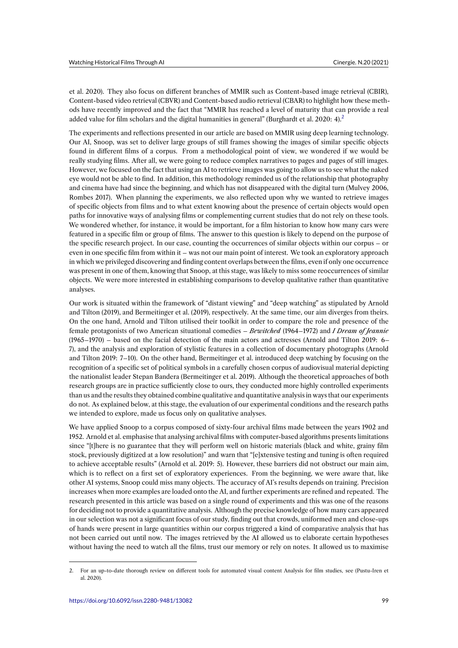et al. 2020). They also focus on different branches of MMIR such as Content-based image retrieval (CBIR), Content-based video retrieval (CBVR) and Content-based audio retrieval (CBAR) to highlight how these methods have recently improved and the fact that "MMIR has reached a level of maturity that can provide a real added value for film scholars and the digital humanities in general" (Burghardt et al. 2020: 4).<sup>2</sup>

The experiments and reflections presented in our article are based on MMIR using deep learning technology. Our AI, Snoop, was set to deliver large groups of still frames showing the images of similar specific objects found in different films of a corpus. From a methodological point of view, we wondered if we would be really studying films. After all, we were going to reduce complex narratives to pages and pages of still images. However, we focused on the fact that using an AI to retrieve images was going to allow us to see what the naked eye would not be able to find. In addition, this methodology reminded us of the relationship that photography and cinema have had since the beginning, and which has not disappeared with the digital turn (Mulvey 2006, Rombes 2017). When planning the experiments, we also reflected upon why we wanted to retrieve images of specific objects from films and to what extent knowing about the presence of certain objects would open paths for innovative ways of analysing films or complementing current studies that do not rely on these tools. We wondered whether, for instance, it would be important, for a film historian to know how many cars were featured in a specific film or group of films. The answer to this question is likely to depend on the purpose of the specific research project. In our case, counting the occurrences of similar objects within our corpus – or even in one specific film from within it – was not our main point of interest. We took an exploratory approach in which we privileged discovering and finding content overlaps between the films, even if only one occurrence was present in one of them, knowing that Snoop, at this stage, was likely to miss some reoccurrences of similar objects. We were more interested in establishing comparisons to develop qualitative rather than quantitative analyses.

Our work is situated within the framework of "distant viewing" and "deep watching" as stipulated by Arnold and Tilton (2019), and Bermeitinger et al. (2019), respectively. At the same time, our aim diverges from theirs. On the one hand, Arnold and Tilton utilised their toolkit in order to compare the role and presence of the female protagonists of two American situational comedies – *Bewitched* (1964–1972) and *I Dream of Jeannie* (1965–1970) – based on the facial detection of the main actors and actresses (Arnold and Tilton 2019: 6– 7), and the analysis and exploration of stylistic features in a collection of documentary photographs (Arnold and Tilton 2019: 7–10). On the other hand, Bermeitinger et al. introduced deep watching by focusing on the recognition of a specific set of political symbols in a carefully chosen corpus of audiovisual material depicting the nationalist leader Stepan Bandera (Bermeitinger et al. 2019). Although the theoretical approaches of both research groups are in practice sufficiently close to ours, they conducted more highly controlled experiments than us and the results they obtained combine qualitative and quantitative analysis in ways that our experiments do not. As explained below, at this stage, the evaluation of our experimental conditions and the research paths we intended to explore, made us focus only on qualitative analyses.

We have applied Snoop to a corpus composed of sixty-four archival films made between the years 1902 and 1952. Arnold et al. emphasise that analysing archival films with computer-based algorithms presents limitations since "[t]here is no guarantee that they will perform well on historic materials (black and white, grainy film stock, previously digitized at a low resolution)" and warn that "[e]xtensive testing and tuning is often required to achieve acceptable results" (Arnold et al. 2019: 5). However, these barriers did not obstruct our main aim, which is to reflect on a first set of exploratory experiences. From the beginning, we were aware that, like other AI systems, Snoop could miss many objects. The accuracy of AI's results depends on training. Precision increases when more examples are loaded onto the AI, and further experiments are refined and repeated. The research presented in this article was based on a single round of experiments and this was one of the reasons for deciding not to provide a quantitative analysis. Although the precise knowledge of how many cars appeared in our selection was not a significant focus of our study, finding out that crowds, uniformed men and close-ups of hands were present in large quantities within our corpus triggered a kind of comparative analysis that has not been carried out until now. The images retrieved by the AI allowed us to elaborate certain hypotheses without having the need to watch all the films, trust our memory or rely on notes. It allowed us to maximise

<sup>2.</sup> For an up-to-date thorough review on different tools for automated visual content Analysis for film studies, see (Pustu-Iren et al. 2020).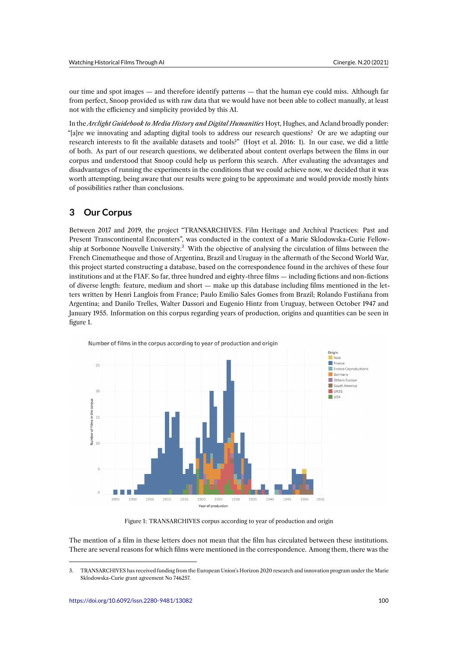our time and spot images — and therefore identify patterns — that the human eye could miss. Although far from perfect, Snoop provided us with raw data that we would have not been able to collect manually, at least not with the efficiency and simplicity provided by this AI.

In the *Arclight Guidebook to Media History and Digital Humanities* Hoyt, Hughes, and Acland broadly ponder: "[a]re we innovating and adapting digital tools to address our research questions? Or are we adapting our research interests to fit the available datasets and tools?" (Hoyt et al. 2016: 1). In our case, we did a little of both. As part of our research questions, we deliberated about content overlaps between the films in our corpus and understood that Snoop could help us perform this search. After evaluating the advantages and disadvantages of running the experiments in the conditions that we could achieve now, we decided that it was worth attempting, being aware that our results were going to be approximate and would provide mostly hints of possibilities rather than conclusions.

# **3 Our Corpus**

Between 2017 and 2019, the project "TRANSARCHIVES. Film Heritage and Archival Practices: Past and Present Transcontinental Encounters", was conducted in the context of a Marie Sklodowska-Curie Fellowship at Sorbonne Nouvelle University.<sup>3</sup> With the objective of analysing the circulation of films between the French Cinematheque and those of Argentina, Brazil and Uruguay in the aftermath of the Second World War, this project started constructing a database, based on the correspondence found in the archives of these four institutions and at the FIAF. So far, three hundred and eighty-three films — including fictions and non-fictions of diverse length: feature, medium and short — make up this database including films mentioned in the letters written by Henri Langlois from France; Paulo Emilio Sales Gomes from Brazil; Rolando Fustiñana from Argentina; and Danilo Trelles, Walter Dassori and Eugenio Hintz from Uruguay, between October 1947 and January 1955. Information on this corpus regarding years of production, origins and quantities can be seen in figure 1.



Number of films in the corpus according to year of production and origin

Figure 1: TRANSARCHIVES corpus according to year of production and origin

The mention of a film in these letters does not mean that the film has circulated between these institutions. There are several reasons for which films were mentioned in the correspondence. Among them, there was the

<sup>3.</sup> TRANSARCHIVES has received funding from the European Union's Horizon 2020 research and innovation program under the Marie Sklodowska-Curie grant agreement No 746257.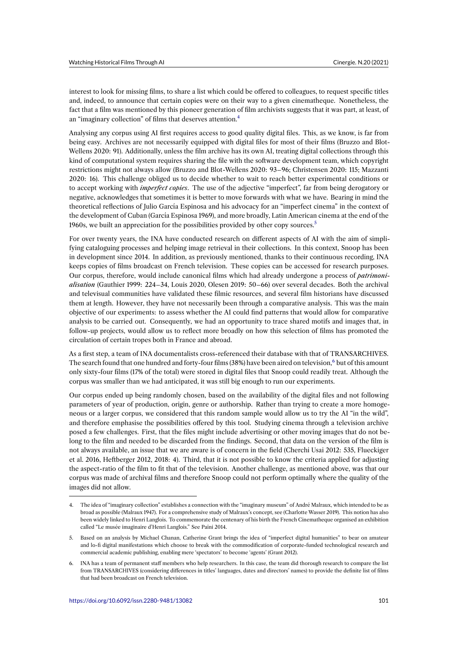interest to look for missing films, to share a list which could be offered to colleagues, to request specific titles and, indeed, to announce that certain copies were on their way to a given cinematheque. Nonetheless, the fact that a film was mentioned by this pioneer generation of film archivists suggests that it was part, at least, of an "imaginary collection" of films that deserves attention.<sup>4</sup>

Analysing any corpus using AI first requires access to good quality digital files. This, as we know, is far from being easy. Archives are not necessarily equipped with digital files for most of their films (Bruzzo and Blot-Wellens 2020: 91). Additionally, unless the film archive has its own AI, treating digital collections through this kind of computational system requires sharing the file with the software development team, which copyright restrictions might not always allow (Bruzzo and Blot-Wellens 2020: 93–96; Christensen 2020: 115; Mazzanti 2020: 16). This challenge obliged us to decide whether to wait to reach better experimental conditions or to accept working with *imperfect copies*. The use of the adjective "imperfect", far from being derogatory or negative, acknowledges that sometimes it is better to move forwards with what we have. Bearing in mind the theoretical reflections of Julio García Espinosa and his advocacy for an "imperfect cinema" in the context of the development of Cuban (García Espinosa 1969), and more broadly, Latin American cinema at the end of the 1960s, we built an appreciation for the possibilities provided by other copy sources. $5$ 

For over twenty years, the INA have conducted research on different aspects of AI with the aim of simplifying cataloguing processes and helping image retrieval in their collections. In this context, Snoop has been in development since 2014. In addition, as previously mentioned, thanks to their continuous recording, INA keeps copies of films broadcast on French television. These copies can be accessed for research purposes. Our corpus, therefore, would include canonical films which had already undergone a process of *patrimonialisation* (Gauthier 1999: 224–34, Louis 2020, Olesen 2019: 50–66) over several decades. Both the archival and televisual communities have validated these filmic resources, and several film historians have discussed them at length. However, they have not necessarily been through a comparative analysis. This was the main objective of our experiments: to assess whether the AI could find patterns that would allow for comparative analysis to be carried out. Consequently, we had an opportunity to trace shared motifs and images that, in follow-up projects, would allow us to reflect more broadly on how this selection of films has promoted the circulation of certain tropes both in France and abroad.

As a first step, a team of INA documentalists cross-referenced their database with that of TRANSARCHIVES. The search found that one hundred and forty-four films (38%) have been aired on television,<sup>6</sup> but of this amount only sixty-four films (17% of the total) were stored in digital files that Snoop could readily treat. Although the corpus was smaller than we had anticipated, it was still big enough to run our experiments.

Our corpus ended up being randomly chosen, based on the availability of the digital files and not following parameters of year of production, origin, genre or authorship. Rather than trying to create a more homogeneous or a larger corpus, we considered that this random sample would allow us to try the AI "in the wild", and therefore emphasise the possibilities offered by this tool. Studying cinema through a television archive posed a few challenges. First, that the files might include advertising or other moving images that do not belong to the film and needed to be discarded from the findings. Second, that data on the version of the film is not always available, an issue that we are aware is of concern in the field (Cherchi Usai 2012: 535, Flueckiger et al. 2016, Heftberger 2012, 2018: 4). Third, that it is not possible to know the criteria applied for adjusting the aspect-ratio of the film to fit that of the television. Another challenge, as mentioned above, was that our corpus was made of archival films and therefore Snoop could not perform optimally where the quality of the images did not allow.

<sup>4.</sup> The idea of "imaginary collection" establishes a connection with the "imaginary museum" of André Malraux, which intended to be as broad as possible (Malraux 1947). For a comprehensive study of Malraux's concept, see (Charlotte Wasser 2019). This notion has also been widely linked to Henri Langlois. To commemorate the centenary of his birth the French Cinematheque organised an exhibition called "Le musée imaginaire d'Henri Langlois." See Païni 2014.

<sup>5.</sup> Based on an analysis by Michael Chanan, Catherine Grant brings the idea of "imperfect digital humanities" to bear on amateur and lo-fi digital manifestations which choose to break with the commodification of corporate-funded technological research and commercial academic publishing, enabling mere 'spectators' to become 'agents' (Grant 2012).

<sup>6.</sup> INA has a team of permanent staff members who help researchers. In this case, the team did thorough research to compare the list from TRANSARCHIVES (considering differences in titles' languages, dates and directors' names) to provide the definite list of films that had been broadcast on French television.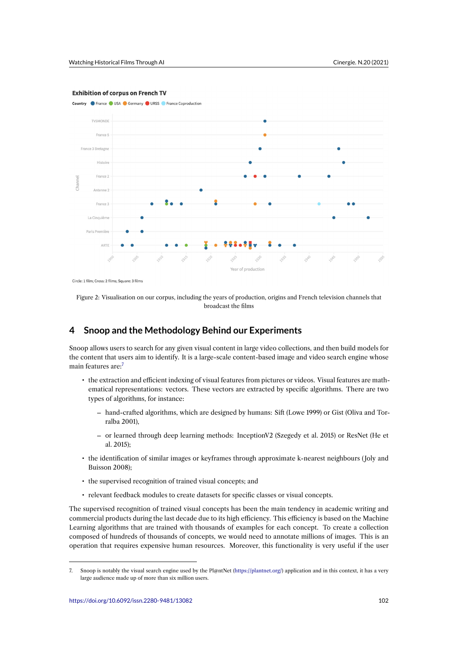#### **Exhibition of corpus on French TV**



Figure 2: Visualisation on our corpus, including the years of production, origins and French television channels that broadcast the films

#### **4 Snoop and the Methodology Behind our Experiments**

Snoop allows users to search for any given visual content in large video collections, and then build models for the content that users aim to identify. It is a large-scale content-based image and video search engine whose main features are:<sup>7</sup>

- the extraction and efficient indexing of visual features from pictures or videos. Visual features are mathematical representations: vectors. These vectors are extracted by specific algorithms. There are two types of algorithms, for instance:
	- **–** hand-crafted algorithms, which are designed by humans: Sift (Lowe 1999) or Gist (Oliva and Torralba 2001),
	- **–** or learned through deep learning methods: InceptionV2 (Szegedy et al. 2015) or ResNet (He et al. 2015);
- the identification of similar images or keyframes through approximate k-nearest neighbours ( Joly and Buisson 2008);
- the supervised recognition of trained visual concepts; and
- relevant feedback modules to create datasets for specific classes or visual concepts.

The supervised recognition of trained visual concepts has been the main tendency in academic writing and commercial products during the last decade due to its high efficiency. This efficiency is based on the Machine Learning algorithms that are trained with thousands of examples for each concept. To create a collection composed of hundreds of thousands of concepts, we would need to annotate millions of images. This is an operation that requires expensive human resources. Moreover, this functionality is very useful if the user

<sup>7.</sup> Snoop is notably the visual search engine used by the Pl@ntNet (https://plantnet.org/) application and in this context, it has a very large audience made up of more than six million users.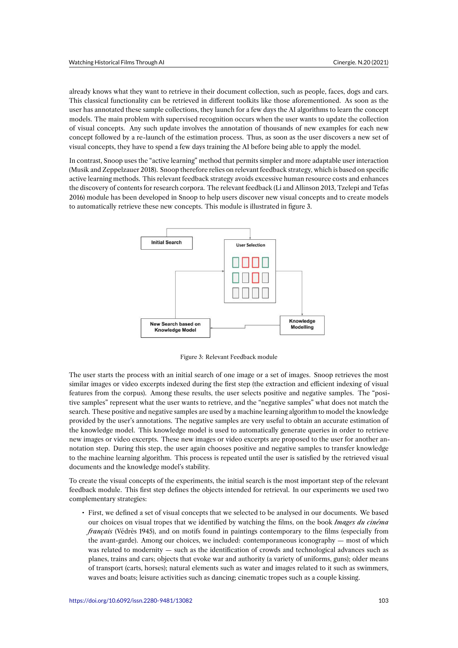already knows what they want to retrieve in their document collection, such as people, faces, dogs and cars. This classical functionality can be retrieved in different toolkits like those aforementioned. As soon as the user has annotated these sample collections, they launch for a few days the AI algorithms to learn the concept models. The main problem with supervised recognition occurs when the user wants to update the collection of visual concepts. Any such update involves the annotation of thousands of new examples for each new concept followed by a re-launch of the estimation process. Thus, as soon as the user discovers a new set of visual concepts, they have to spend a few days training the AI before being able to apply the model.

In contrast, Snoop uses the "active learning" method that permits simpler and more adaptable user interaction (Musik and Zeppelzauer 2018). Snoop therefore relies on relevant feedback strategy, which is based on specific active learning methods. This relevant feedback strategy avoids excessive human resource costs and enhances the discovery of contents for research corpora. The relevant feedback (Li and Allinson 2013, Tzelepi and Tefas 2016) module has been developed in Snoop to help users discover new visual concepts and to create models to automatically retrieve these new concepts. This module is illustrated in figure 3.



Figure 3: Relevant Feedback module

The user starts the process with an initial search of one image or a set of images. Snoop retrieves the most similar images or video excerpts indexed during the first step (the extraction and efficient indexing of visual features from the corpus). Among these results, the user selects positive and negative samples. The "positive samples" represent what the user wants to retrieve, and the "negative samples" what does not match the search. These positive and negative samples are used by a machine learning algorithm to model the knowledge provided by the user's annotations. The negative samples are very useful to obtain an accurate estimation of the knowledge model. This knowledge model is used to automatically generate queries in order to retrieve new images or video excerpts. These new images or video excerpts are proposed to the user for another annotation step. During this step, the user again chooses positive and negative samples to transfer knowledge to the machine learning algorithm. This process is repeated until the user is satisfied by the retrieved visual documents and the knowledge model's stability.

To create the visual concepts of the experiments, the initial search is the most important step of the relevant feedback module. This first step defines the objects intended for retrieval. In our experiments we used two complementary strategies:

• First, we defined a set of visual concepts that we selected to be analysed in our documents. We based our choices on visual tropes that we identified by watching the films, on the book *Images du cinéma français* (Védrès 1945), and on motifs found in paintings contemporary to the films (especially from the avant-garde). Among our choices, we included: contemporaneous iconography — most of which was related to modernity — such as the identification of crowds and technological advances such as planes, trains and cars; objects that evoke war and authority (a variety of uniforms, guns); older means of transport (carts, horses); natural elements such as water and images related to it such as swimmers, waves and boats; leisure activities such as dancing; cinematic tropes such as a couple kissing.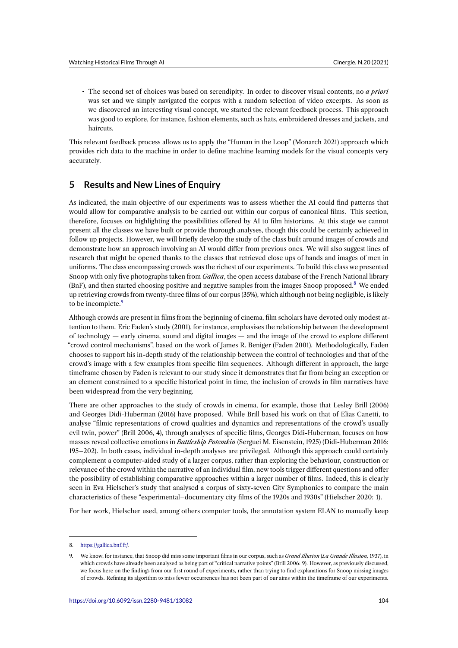• The second set of choices was based on serendipity. In order to discover visual contents, no *a priori* was set and we simply navigated the corpus with a random selection of video excerpts. As soon as we discovered an interesting visual concept, we started the relevant feedback process. This approach was good to explore, for instance, fashion elements, such as hats, embroidered dresses and jackets, and haircuts.

This relevant feedback process allows us to apply the "Human in the Loop" (Monarch 2021) approach which provides rich data to the machine in order to define machine learning models for the visual concepts very accurately.

#### **5 Results and New Lines of Enquiry**

As indicated, the main objective of our experiments was to assess whether the AI could find patterns that would allow for comparative analysis to be carried out within our corpus of canonical films. This section, therefore, focuses on highlighting the possibilities offered by AI to film historians. At this stage we cannot present all the classes we have built or provide thorough analyses, though this could be certainly achieved in follow up projects. However, we will briefly develop the study of the class built around images of crowds and demonstrate how an approach involving an AI would differ from previous ones. We will also suggest lines of research that might be opened thanks to the classes that retrieved close ups of hands and images of men in uniforms. The class encompassing crowds was the richest of our experiments. To build this class we presented Snoop with only five photographs taken from *Gallica*, the open access database of the French National library (BnF), and then started choosing positive and negative samples from the images Snoop proposed.<sup>8</sup> We ended up retrieving crowds from twenty-three films of our corpus (35%), which although not being negligible, is likely to be incomplete.<sup>9</sup>

Although crowds are present in films from the beginning of cinema, film scholars have devoted only modest attention to them. Eric Faden's study (2001), for instance, emphasises the relationship between the development of technology — early cinema, sound and digital images — and the image of the crowd to explore different "crowd control mechanisms", based on the work of James R. Beniger (Faden 2001). Methodologically, Faden chooses to support his in-depth study of the relationship between the control of technologies and that of the crowd's image with a few examples from specific film sequences. Although different in approach, the large timeframe chosen by Faden is relevant to our study since it demonstrates that far from being an exception or an element constrained to a specific historical point in time, the inclusion of crowds in film narratives have been widespread from the very beginning.

There are other approaches to the study of crowds in cinema, for example, those that Lesley Brill (2006) and Georges Didi-Huberman (2016) have proposed. While Brill based his work on that of Elias Canetti, to analyse "filmic representations of crowd qualities and dynamics and representations of the crowd's usually evil twin, power" (Brill 2006, 4), through analyses of specific films, Georges Didi-Huberman, focuses on how masses reveal collective emotions in *Battleship Potemkin* (Serguei M. Eisenstein, 1925) (Didi-Huberman 2016: 195–202). In both cases, individual in-depth analyses are privileged. Although this approach could certainly complement a computer-aided study of a larger corpus, rather than exploring the behaviour, construction or relevance of the crowd within the narrative of an individual film, new tools trigger different questions and offer the possibility of establishing comparative approaches within a larger number of films. Indeed, this is clearly seen in Eva Hielscher's study that analysed a corpus of sixty-seven City Symphonies to compare the main characteristics of these "experimental–documentary city films of the 1920s and 1930s" (Hielscher 2020: 1).

For her work, Hielscher used, among others computer tools, the annotation system ELAN to manually keep

<sup>8.</sup> https://gallica.bnf.fr/.

<sup>9.</sup> We know, for instance, that Snoop did miss some important films in our corpus, such as *Grand Illusion* (*La Grande Illusion,* 1937), in which crowds have already been analysed as being part of "critical narrative points" (Brill 2006: 9). However, as previously discussed, we focus here on the findings from our first round of experiments, rather than trying to find explanations for Snoop missing images [of crowds. Refining i](https://gallica.bnf.fr/)ts algorithm to miss fewer occurrences has not been part of our aims within the timeframe of our experiments.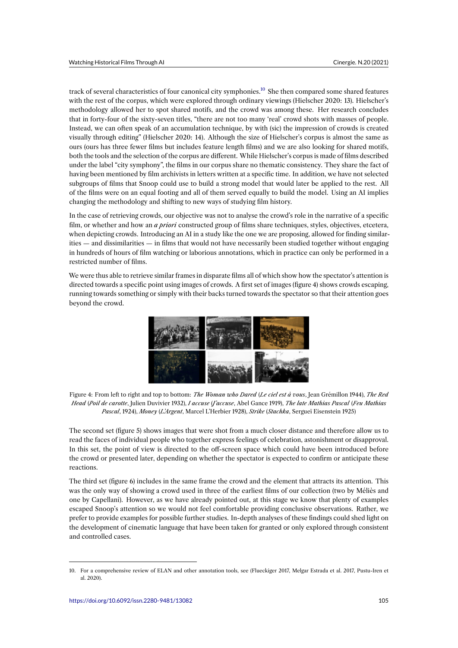track of several characteristics of four canonical city symphonies.<sup>10</sup> She then compared some shared features with the rest of the corpus, which were explored through ordinary viewings (Hielscher 2020: 13). Hielscher's methodology allowed her to spot shared motifs, and the crowd was among these. Her research concludes that in forty-four of the sixty-seven titles, "there are not too many 'real' crowd shots with masses of people. Instead, we can often speak of an accumulation technique, by with (sic) the impression of crowds is created visually through editing" (Hielscher 2020: 14). Although the size of Hielscher's corpus is almost the same as ours (ours has three fewer films but includes feature length films) and we are also looking for shared motifs, both the tools and the selection of the corpus are different. While Hielscher's corpus is made of films described under the label "city symphony", the films in our corpus share no thematic consistency. They share the fact of having been mentioned by film archivists in letters written at a specific time. In addition, we have not selected subgroups of films that Snoop could use to build a strong model that would later be applied to the rest. All of the films were on an equal footing and all of them served equally to build the model. Using an AI implies changing the methodology and shifting to new ways of studying film history.

In the case of retrieving crowds, our objective was not to analyse the crowd's role in the narrative of a specific film, or whether and how an *a priori* constructed group of films share techniques, styles, objectives, etcetera, when depicting crowds. Introducing an AI in a study like the one we are proposing, allowed for finding similarities — and dissimilarities — in films that would not have necessarily been studied together without engaging in hundreds of hours of film watching or laborious annotations, which in practice can only be performed in a restricted number of films.

We were thus able to retrieve similar frames in disparate films all of which show how the spectator's attention is directed towards a specific point using images of crowds. A first set of images (figure 4) shows crowds escaping, running towards something or simply with their backs turned towards the spectator so that their attention goes beyond the crowd.



Figure 4: From left to right and top to bottom: *The Woman who Dared* (*Le ciel est à vous*, Jean Grémillon 1944), *The Red Head* (*Poil de carotte*, Julien Duvivier 1932), *I accuse* (*J'accuse*, Abel Gance 1919), *The late Mathias Pascal* (*Feu Mathias Pascal*, 1924), *Money* (*L'Argent*, Marcel L'Herbier 1928), *Strike* (*Stachka*, Sergueï Eisenstein 1925)

The second set (figure 5) shows images that were shot from a much closer distance and therefore allow us to read the faces of individual people who together express feelings of celebration, astonishment or disapproval. In this set, the point of view is directed to the off-screen space which could have been introduced before the crowd or presented later, depending on whether the spectator is expected to confirm or anticipate these reactions.

The third set (figure 6) includes in the same frame the crowd and the element that attracts its attention. This was the only way of showing a crowd used in three of the earliest films of our collection (two by Méliès and one by Capellani). However, as we have already pointed out, at this stage we know that plenty of examples escaped Snoop's attention so we would not feel comfortable providing conclusive observations. Rather, we prefer to provide examples for possible further studies. In-depth analyses of these findings could shed light on the development of cinematic language that have been taken for granted or only explored through consistent and controlled cases.

<sup>10.</sup> For a comprehensive review of ELAN and other annotation tools, see (Flueckiger 2017, Melgar Estrada et al. 2017, Pustu-Iren et al. 2020).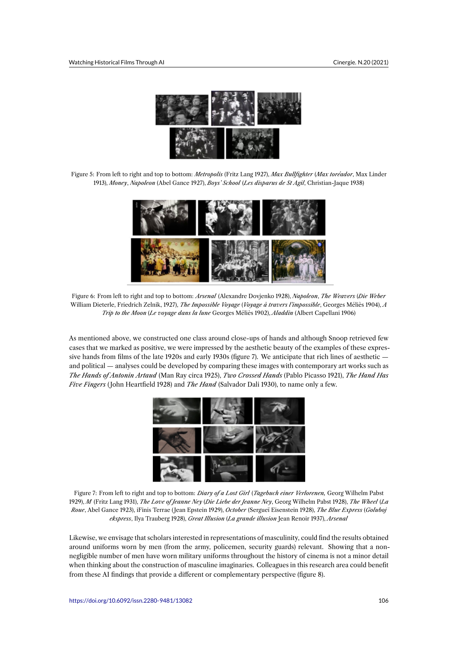

Figure 5: From left to right and top to bottom: *Metropolis* (Fritz Lang 1927), *Max Bullfighter* (*Max toréador*, Max Linder 1913), *Money*, *Napoleon* (Abel Gance 1927), *Boys' School* (*Les disparus de St Agil*, Christian-Jaque 1938)



Figure 6: From left to right and top to bottom: *Arsenal* (Alexandre Dovjenko 1928), *Napoleon*, *The Weavers* (*Die Weber* William Dieterle, Friedrich Zelnik, 1927), *The Impossible Voyage* (*Voyage à travers l'impossible*, Georges Méliès 1904), *A Trip to the Moon* (*Le voyage dans la lune* Georges Méliès 1902), *Aladdin* (Albert Capellani 1906)

As mentioned above, we constructed one class around close-ups of hands and although Snoop retrieved few cases that we marked as positive, we were impressed by the aesthetic beauty of the examples of these expressive hands from films of the late 1920s and early 1930s (figure 7). We anticipate that rich lines of aesthetic and political — analyses could be developed by comparing these images with contemporary art works such as *The Hands of Antonin Artaud* (Man Ray circa 1925), *Two Crossed Hands* (Pablo Picasso 1921), *The Hand Has Five Fingers* ( John Heartfield 1928) and *The Hand* (Salvador Dali 1930), to name only a few.



Figure 7: From left to right and top to bottom: *Diary of a Lost Girl* (*Tagebuch einer Verlorenen,* Georg Wilhelm Pabst 1929), *M* (Fritz Lang 1931), *The Love of Jeanne Ney* (*Die Liebe der Jeanne Ney*, Georg Wilhelm Pabst 1928), *The Wheel* (*La Roue*, Abel Gance 1923), iFinis Terrae ( Jean Epstein 1929), *October* (Sergueï Eisenstein 1928), *The Blue Express* (*Goluboj ekspress*, Ilya Trauberg 1928), *Great Illusion* (*La grande illusion* Jean Renoir 1937), *Arsenal*

Likewise, we envisage that scholars interested in representations of masculinity, could find the results obtained around uniforms worn by men (from the army, policemen, security guards) relevant. Showing that a nonnegligible number of men have worn military uniforms throughout the history of cinema is not a minor detail when thinking about the construction of masculine imaginaries. Colleagues in this research area could benefit from these AI findings that provide a different or complementary perspective (figure 8).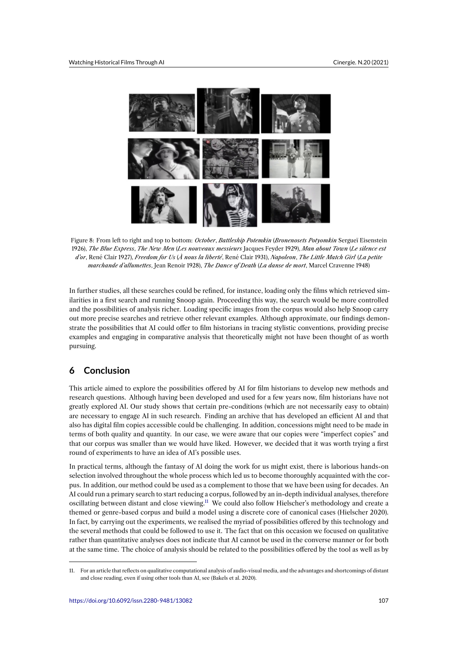

Figure 8: From left to right and top to bottom: *October*, *Battleship Potemkin* (*Bronenosets Potyomkin* Sergueï Eisenstein 1926), *The Blue Express*, *The New Men* (*Les nouveaux messieurs* Jacques Feyder 1929), *Man about Town* (*Le silence est d'or*, René Clair 1927), *Freedom for Us* (*À nous la liberté*, René Clair 1931), *Napoleon*, *The Little Match Girl* (*La petite marchande d'allumettes*, Jean Renoir 1928), *The Dance of Death* (*La danse de mort*, Marcel Cravenne 1948)

In further studies, all these searches could be refined, for instance, loading only the films which retrieved similarities in a first search and running Snoop again. Proceeding this way, the search would be more controlled and the possibilities of analysis richer. Loading specific images from the corpus would also help Snoop carry out more precise searches and retrieve other relevant examples. Although approximate, our findings demonstrate the possibilities that AI could offer to film historians in tracing stylistic conventions, providing precise examples and engaging in comparative analysis that theoretically might not have been thought of as worth pursuing.

# **6 Conclusion**

This article aimed to explore the possibilities offered by AI for film historians to develop new methods and research questions. Although having been developed and used for a few years now, film historians have not greatly explored AI. Our study shows that certain pre-conditions (which are not necessarily easy to obtain) are necessary to engage AI in such research. Finding an archive that has developed an efficient AI and that also has digital film copies accessible could be challenging. In addition, concessions might need to be made in terms of both quality and quantity. In our case, we were aware that our copies were "imperfect copies" and that our corpus was smaller than we would have liked. However, we decided that it was worth trying a first round of experiments to have an idea of AI's possible uses.

In practical terms, although the fantasy of AI doing the work for us might exist, there is laborious hands-on selection involved throughout the whole process which led us to become thoroughly acquainted with the corpus. In addition, our method could be used as a complement to those that we have been using for decades. An AI could run a primary search to start reducing a corpus, followed by an in-depth individual analyses, therefore oscillating between distant and close viewing.<sup>11</sup> We could also follow Hielscher's methodology and create a themed or genre-based corpus and build a model using a discrete core of canonical cases (Hielscher 2020). In fact, by carrying out the experiments, we realised the myriad of possibilities offered by this technology and the several methods that could be followed to use it. The fact that on this occasion we focused on qualitative rather than quantitative analyses does not indicate that AI cannot be used in the converse manner or for both at the same time. The choice of analysis should be related to the possibilities offered by the tool as well as by

<sup>11.</sup> For an article that reflects on qualitative computational analysis of audio-visual media, and the advantages and shortcomings of distant and close reading, even if using other tools than AI, see (Bakels et al. 2020).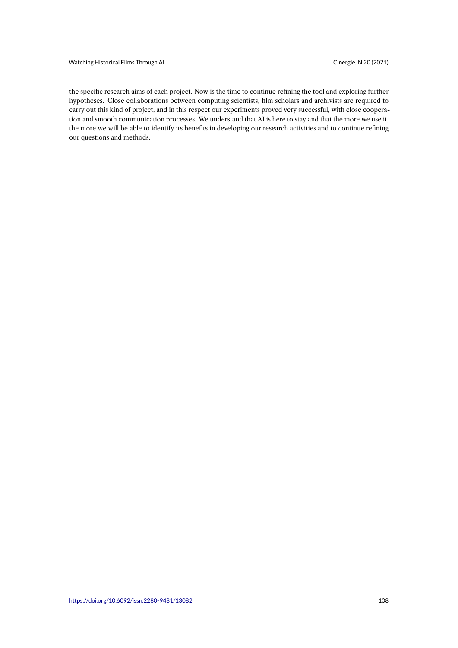the specific research aims of each project. Now is the time to continue refining the tool and exploring further hypotheses. Close collaborations between computing scientists, film scholars and archivists are required to carry out this kind of project, and in this respect our experiments proved very successful, with close cooperation and smooth communication processes. We understand that AI is here to stay and that the more we use it, the more we will be able to identify its benefits in developing our research activities and to continue refining our questions and methods.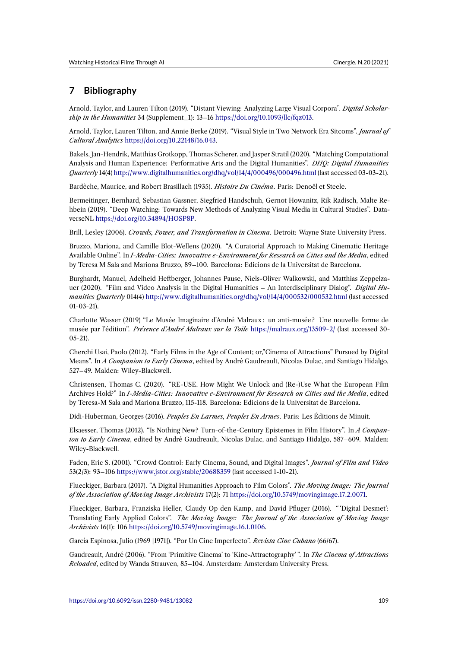# **7 Bibliography**

Arnold, Taylor, and Lauren Tilton (2019). "Distant Viewing: Analyzing Large Visual Corpora". *Digital Scholarship in the Humanities* 34 (Supplement\_1): 13–16 https://doi.org/10.1093/llc/fqz013.

Arnold, Taylor, Lauren Tilton, and Annie Berke (2019). "Visual Style in Two Network Era Sitcoms". *Journal of Cultural Analytics* https://doi.org/10.22148/16.043.

Bakels, Jan-Hendrik, Matthias Grotkopp, Thomas [Scherer, and Jasper Stratil \(2020\).](https://doi.org/10.1093/llc/fqz013) "Matching Computational Analysis and Human Experience: Performative Arts and the Digital Humanities". *DHQ: Digital Humanities Quarterly* 14(4) htt[p://www.digitalhumanities.org/d](https://doi.org/10.22148/16.043)hq/vol/14/4/000496/000496.html (last accessed 03-03-21).

Bardèche, Maurice, and Robert Brasillach (1935). *Histoire Du Cinéma*. Paris: Denoël et Steele.

Bermeitinger, Bernhard, Sebastian Gassner, Siegfried Handschuh, Gernot Howanitz, Rik Radisch, Malte Rehbein (2019). "[Deep Watching: Towards New Methods of Analyzing Visual Media in](http://www.digitalhumanities.org/dhq/vol/14/4/000496/000496.html) Cultural Studies". DataverseNL https://doi.org/10.34894/HOSP8P.

Brill, Lesley (2006). *Crowds, Power, and Transformation in Cinema*. Detroit: Wayne State University Press.

Bruzzo, Mariona, and Camille Blot-Wellens (2020). "A Curatorial Approach to Making Cinematic Heritage Available Online". In *[I-Media-Cities: Innov](https://doi.org/10.34894/HOSP8P)ative e-Environment for Research on Cities and the Media*, edited by Teresa M Sala and Mariona Bruzzo, 89–100. Barcelona: Edicions de la Universitat de Barcelona.

Burghardt, Manuel, Adelheid Heftberger, Johannes Pause, Niels-Oliver Walkowski, and Matthias Zeppelzauer (2020). "Film and Video Analysis in the Digital Humanities – An Interdisciplinary Dialog". *Digital Humanities Quarterly* 014(4) http://www.digitalhumanities.org/dhq/vol/14/4/000532/000532.html (last accessed 01-03-21).

Charlotte Wasser (2019) "Le Musée Imaginaire d'André Malraux : un anti-musée ? Une nouvelle forme de musée par l'édition". *Pré[sence d'André Malraux sur la Toile](http://www.digitalhumanities.org/dhq/vol/14/4/000532/000532.html)* https://malraux.org/13509-2/ (last accessed 30- 05-21).

Cherchi Usai, Paolo (2012). "Early Films in the Age of Content; or,"Cinema of Attractions" Pursued by Digital Means". In *A Companion to Early Cinema*, edited by André G[audreault, Nicolas Dulac, and](https://malraux.org/13509-2/) Santiago Hidalgo, 527–49. Malden: Wiley-Blackwell.

Christensen, Thomas C. (2020). "RE-USE. How Might We Unlock and (Re-)Use What the European Film Archives Hold?" In *I-Media-Cities: Innovative e-Environment for Research on Cities and the Media*, edited by Teresa-M Sala and Mariona Bruzzo, 115-118. Barcelona: Edicions de la Universitat de Barcelona.

Didi-Huberman, Georges (2016). *Peuples En Larmes, Peuples En Armes*. Paris: Les Éditions de Minuit.

Elsaesser, Thomas (2012). "Is Nothing New? Turn-of-the-Century Epistemes in Film History". In *A Companion to Early Cinema*, edited by André Gaudreault, Nicolas Dulac, and Santiago Hidalgo, 587–609. Malden: Wiley-Blackwell.

Faden, Eric S. (2001). "Crowd Control: Early Cinema, Sound, and Digital Images". *Journal of Film and Video* 53(2/3): 93–106 https://www.jstor.org/stable/20688359 (last accessed 1-10-21).

Flueckiger, Barbara (2017). "A Digital Humanities Approach to Film Colors". *The Moving Image: The Journal of the Association of Moving Image Archivists* 17(2): 71 https://doi.org/10.5749/movingimage.17.2.0071.

Flueckiger, Bar[bara, Franziska Heller, Claudy Op den](https://www.jstor.org/stable/20688359) Kamp, and David Pfluger (2016). " 'Digital Desmet': Translating Early Applied Colors". *The Moving Image: The Journal of the Association of Moving Image Archivists* 16(1): 106 https://doi.org/10.5749/movingim[age.16.1.0106.](https://doi.org/10.5749/movingimage.17.2.0071)

García Espinosa, Julio (1969 [1971]). "Por Un Cine Imperfecto". *Revista Cine Cubano* (66/67).

Gaudreault, André (2006). "From 'Primitive Cinema' to 'Kine-Attractography' ". In *The Cinema of Attractions Reloaded*, edited by [Wanda Strauven, 85–104. Amsterdam: Amster](https://doi.org/10.5749/movingimage.16.1.0106)dam University Press.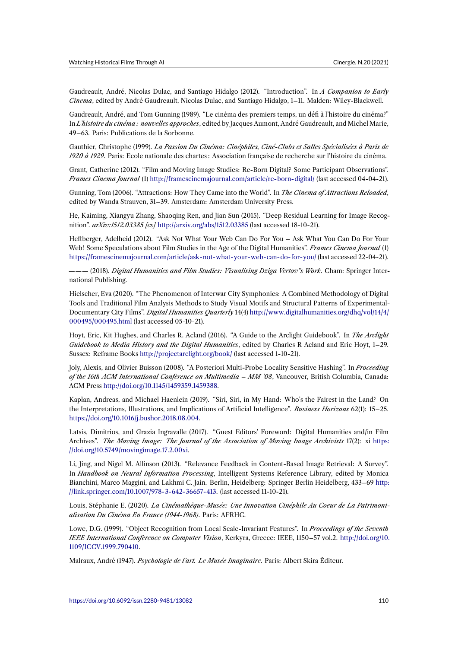Gaudreault, André, Nicolas Dulac, and Santiago Hidalgo (2012). "Introduction". In *A Companion to Early Cinema*, edited by André Gaudreault, Nicolas Dulac, and Santiago Hidalgo, 1–11. Malden: Wiley-Blackwell.

Gaudreault, André, and Tom Gunning (1989). "Le cinéma des premiers temps, un défi à l'histoire du cinéma?" In *L'histoire du cinéma : nouvelles approches*, edited by Jacques Aumont, André Gaudreault, and Michel Marie, 49–63. Paris: Publications de la Sorbonne.

Gauthier, Christophe (1999). *La Passion Du Cinéma: Cinéphiles, Ciné-Clubs et Salles Spécialisées à Paris de 1920 à 1929*. Paris: Ecole nationale des chartes : Association française de recherche sur l'histoire du cinéma.

Grant, Catherine (2012). "Film and Moving Image Studies: Re-Born Digital? Some Participant Observations". *Frames Cinema Journal* (1) http://framescinemajournal.com/article/re-born-digital/ (last accessed 04-04-21).

Gunning, Tom (2006). "Attractions: How They Came into the World". In *The Cinema of Attractions Reloaded*, edited by Wanda Strauven, 31–39. Amsterdam: Amsterdam University Press.

He, Kaiming, Xiangyu Zha[ng, Shaoqing Ren, and Jian Sun \(2015\). "Deep Residual L](http://framescinemajournal.com/article/re-born-digital/)earning for Image Recognition". *arXiv:1512.03385 [cs]* http://arxiv.org/abs/1512.03385 (last accessed 18-10-21).

Heftberger, Adelheid (2012). "Ask Not What Your Web Can Do For You – Ask What You Can Do For Your Web! Some Speculations about Film Studies in the Age of the Digital Humanities". *Frames Cinema Journal* (1) https://framescinemajournal.c[om/article/ask-not-what-your-](http://arxiv.org/abs/1512.03385)web-can-do-for-you/ (last accessed 22-04-21).

——— (2018). *Digital Humanities and Film Studies: Visualising Dziga Vertov"s Work*. Cham: Springer International Publishing.

[Hielscher, Eva \(2020\). "The Phenomenon of Interwar City Symphonies: A Combined](https://framescinemajournal.com/article/ask-not-what-your-web-can-do-for-you/) Methodology of Digital Tools and Traditional Film Analysis Methods to Study Visual Motifs and Structural Patterns of Experimental-Documentary City Films". *Digital Humanities Quarterly* 14(4) http://www.digitalhumanities.org/dhq/vol/14/4/ 000495/000495.html (last accessed 05-10-21).

Hoyt, Eric, Kit Hughes, and Charles R. Acland (2016). "A Guide to the Arclight Guidebook". In *The Arclight Guidebook to Media History and the Digital Humanities*, edited by Charles R Acland and Eric Hoyt, 1–29. [Sussex: Reframe Book](http://www.digitalhumanities.org/dhq/vol/14/4/000495/000495.html)s http://projectarclight.org/book/ (last [accessed 1-10-21\).](http://www.digitalhumanities.org/dhq/vol/14/4/000495/000495.html)

Joly, Alexis, and Olivier Buisson (2008). "A Posteriori Multi-Probe Locality Sensitive Hashing". In *Proceeding of the 16th ACM International Conference on Multimedia – MM '08*, Vancouver, British Columbia, Canada: ACM Press http://doi.or[g/10.1145/1459359.1459388.](http://projectarclight.org/book/)

Kaplan, Andreas, and Michael Haenlein (2019). "Siri, Siri, in My Hand: Who's the Fairest in the Land? On the Interpretations, Illustrations, and Implications of Artificial Intelligence". *Business Horizons* 62(1): 15–25. https://doi.[org/10.1016/j.bushor.2018.08.004.](http://doi.org/10.1145/1459359.1459388)

Latsis, Dimitrios, and Grazia Ingravalle (2017). "Guest Editors' Foreword: Digital Humanities and/in Film Archives". *The Moving Image: The Journal of the Association of Moving Image Archivists* 17(2): xi https: [//doi.org/10.5749/movingimage.17.2.00xi.](https://doi.org/10.1016/j.bushor.2018.08.004)

Li, Jing, and Nigel M. Allinson (2013). "Relevance Feedback in Content-Based Image Retrieval: A Survey". In *Handbook on Neural Information Processing*, Intelligent Systems Reference Library, edited by Monica Bianchini, Marco Maggini, and Lakhmi C. Jain. Berlin, Heidelberg: Springer Berlin Heidelberg, 433–69 [http:](https://doi.org/10.5749/movingimage.17.2.00xi) [//link.springer.com/10.1007/978-3-642-3](https://doi.org/10.5749/movingimage.17.2.00xi)6657-413. (last accessed 11-10-21).

Louis, Stéphanie E. (2020). *La Cinémathèque-Musée: Une Innovation Cinéphile Au Coeur de La Patrimonialisation Du Cinéma En France (1944-1968)*. Paris: AFRHC.

[Lowe, D.G. \(1999\). "Object Recognition from Loca](http://link.springer.com/10.1007/978-3-642-36657-413)l Scale-Invariant Features". In *Proceedings of the Seventh IEEE International Conference on Computer Vision*, Kerkyra, Greece: IEEE, 1150–57 vol.2. http://doi.org/10. 1109/ICCV.1999.790410.

Malraux, André (1947). *Psychologie de l'art. Le Musée Imaginaire*. Paris: Albert Skira Éditeur.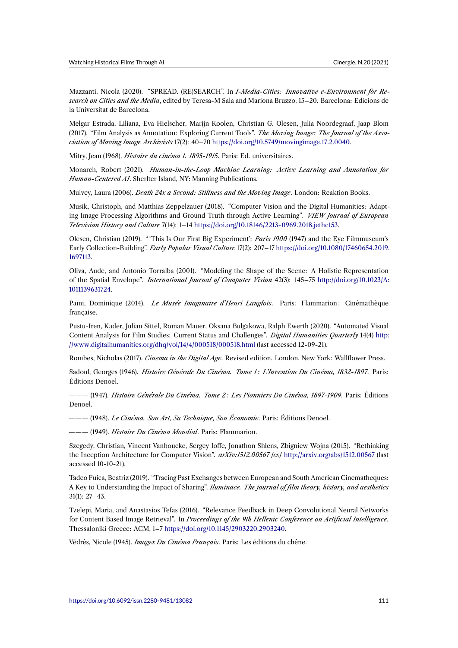Mazzanti, Nicola (2020). "SPREAD. (RE)SEARCH". In *I-Media-Cities: Innovative e-Environment for Research on Cities and the Media*, edited by Teresa-M Sala and Mariona Bruzzo, 15–20. Barcelona: Edicions de la Universitat de Barcelona.

Melgar Estrada, Liliana, Eva Hielscher, Marijn Koolen, Christian G. Olesen, Julia Noordegraaf, Jaap Blom (2017). "Film Analysis as Annotation: Exploring Current Tools". *The Moving Image: The Journal of the Association of Moving Image Archivists* 17(2): 40–70 https://doi.org/10.5749/movingimage.17.2.0040.

Mitry, Jean (1968). *Histoire du cinéma 1. 1895-1915*. Paris: Ed. universitaires.

Monarch, Robert (2021). *Human-in-the-Loop Machine Learning: Active Learning and Annotation for Human-Centered AI*. Sherlter Island, NY: Manni[ng Publications.](https://doi.org/10.5749/movingimage.17.2.0040)

Mulvey, Laura (2006). *Death 24x a Second: Stillness and the Moving Image*. London: Reaktion Books.

Musik, Christoph, and Matthias Zeppelzauer (2018). "Computer Vision and the Digital Humanities: Adapting Image Processing Algorithms and Ground Truth through Active Learning". *VIEW Journal of European Television History and Culture* 7(14): 1–14 https://doi.org/10.18146/2213-0969.2018.jethc153.

Olesen, Christian (2019). " 'This Is Our First Big Experiment': *Paris 1900* (1947) and the Eye Filmmuseum's Early Collection-Building". *Early Popular Visual Culture* 17(2): 207–17 https://doi.org/10.1080/17460654.2019. 1697113.

Oliva, Aude, and Antonio Torralba (2001). "Modeling the Shape of the Scene: A Holistic Representation of the Spatial Envelope". *International Journal of Computer Vision* 42(3): 145–75 [http://doi.org/10.1023/A:](https://doi.org/10.1080/17460654.2019.1697113) [10111396](https://doi.org/10.1080/17460654.2019.1697113)31724.

Païni, Dominique (2014). *Le Musée Imaginaire d'Henri Langlois*. Paris: Flammarion: Cinémathèque française.

[Pustu-Iren, Ka](http://doi.org/10.1023/A:1011139631724)der, Julian Sittel, Roman Mauer, Oksana Bulgakowa, Ralph Ewerth (2020). "Automated Visual Content Analysis for Film Studies: Current Status and Challenges". *Digital Humanities Quarterly* 14(4) http: //www.digitalhumanities.org/dhq/vol/14/4/000518/000518.html (last accessed 12-09-21).

Rombes, Nicholas (2017). *Cinema in the Digital Age*. Revised edition. London, New York: Wallflower Press.

Sadoul, Georges (1946). *Histoire Générale Du Cinéma. Tome 1: L'Invention Du Cinéma*, 1832-1897. [Paris:](http://www.digitalhumanities.org/dhq/vol/14/4/000518/000518.html) [Éditions Denoel.](http://www.digitalhumanities.org/dhq/vol/14/4/000518/000518.html)

——— (1947). *Histoire Générale Du Cinéma. Tome 2 : Les Pionniers Du Cinéma, 1897-1909*. Paris: Éditions Denoel.

——— (1948). *Le Cinéma. Son Art, Sa Technique, Son Économie*. Paris: Éditions Denoel.

——— (1949). *Histoire Du Cinéma Mondial*. Paris: Flammarion.

Szegedy, Christian, Vincent Vanhoucke, Sergey Ioffe, Jonathon Shlens, Zbigniew Wojna (2015). "Rethinking the Inception Architecture for Computer Vision". *arXiv:1512.00567 [cs]* http://arxiv.org/abs/1512.00567 (last accessed 10-10-21).

Tadeo Fuica, Beatriz (2019). "Tracing Past Exchanges between European and South American Cinematheques: A Key to Understanding the Impact of Sharing". *Iluminace. The journal [of film theory, history, and aesth](http://arxiv.org/abs/1512.00567)etics* 31(1): 27–43.

Tzelepi, Maria, and Anastasios Tefas (2016). "Relevance Feedback in Deep Convolutional Neural Networks for Content Based Image Retrieval". In *Proceedings of the 9th Hellenic Conference on Artificial Intelligence*, Thessaloniki Greece: ACM, 1–7 https://doi.org/10.1145/2903220.2903240.

Védrès, Nicole (1945). *Images Du Cinéma Français*. Paris: Les éditions du chêne.